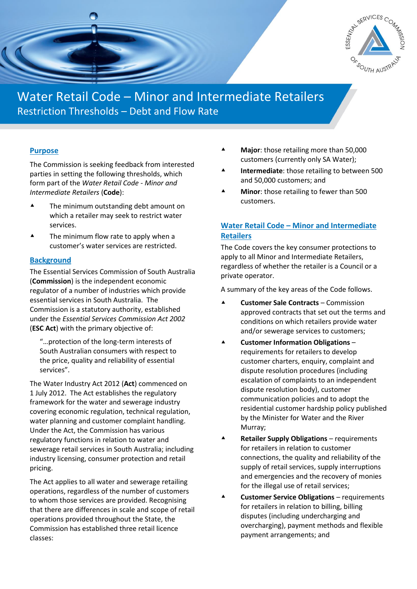

# Water Retail Code – Minor and Intermediate Retailers Restriction Thresholds – Debt and Flow Rate

## **Purpose**

The Commission is seeking feedback from interested parties in setting the following thresholds, which form part of the *Water Retail Code - Minor and Intermediate Retailers* (**Code**):

- ▲ The minimum outstanding debt amount on which a retailer may seek to restrict water services.
- ▲ The minimum flow rate to apply when a customer's water services are restricted.

#### **Background**

The Essential Services Commission of South Australia (**Commission**) is the independent economic regulator of a number of industries which provide essential services in South Australia. The Commission is a statutory authority, established under the *Essential Services Commission Act 2002* (**ESC Act**) with the primary objective of:

"…protection of the long-term interests of South Australian consumers with respect to the price, quality and reliability of essential services".

The Water Industry Act 2012 (**Act**) commenced on 1 July 2012. The Act establishes the regulatory framework for the water and sewerage industry covering economic regulation, technical regulation, water planning and customer complaint handling. Under the Act, the Commission has various regulatory functions in relation to water and sewerage retail services in South Australia; including industry licensing, consumer protection and retail pricing.

The Act applies to all water and sewerage retailing operations, regardless of the number of customers to whom those services are provided. Recognising that there are differences in scale and scope of retail operations provided throughout the State, the Commission has established three retail licence classes:

- **Major**: those retailing more than 50,000 customers (currently only SA Water);
- **Intermediate**: those retailing to between 500 and 50,000 customers; and
- **Minor**: those retailing to fewer than 500 customers.

# **Water Retail Code – Minor and Intermediate Retailers**

The Code covers the key consumer protections to apply to all Minor and Intermediate Retailers, regardless of whether the retailer is a Council or a private operator.

A summary of the key areas of the Code follows.

- **Customer Sale Contracts** Commission approved contracts that set out the terms and conditions on which retailers provide water and/or sewerage services to customers;
- **Customer Information Obligations** requirements for retailers to develop customer charters, enquiry, complaint and dispute resolution procedures (including escalation of complaints to an independent dispute resolution body), customer communication policies and to adopt the residential customer hardship policy published by the Minister for Water and the River Murray;
- **Retailer Supply Obligations** requirements for retailers in relation to customer connections, the quality and reliability of the supply of retail services, supply interruptions and emergencies and the recovery of monies for the illegal use of retail services;
- **Customer Service Obligations** requirements for retailers in relation to billing, billing disputes (including undercharging and overcharging), payment methods and flexible payment arrangements; and